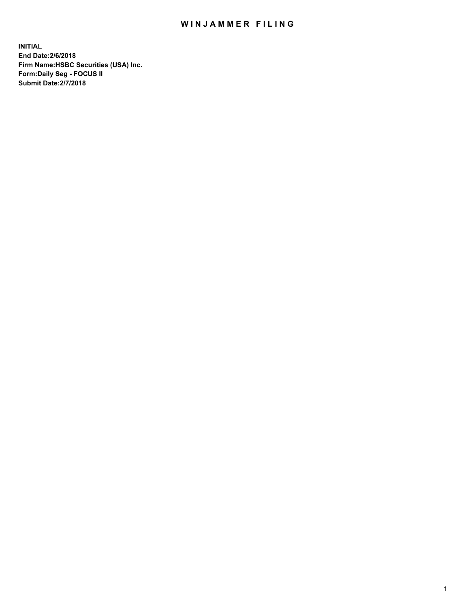## WIN JAMMER FILING

**INITIAL End Date:2/6/2018 Firm Name:HSBC Securities (USA) Inc. Form:Daily Seg - FOCUS II Submit Date:2/7/2018**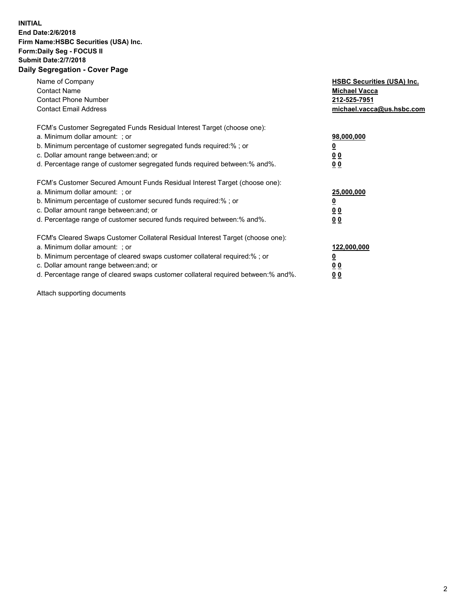## **INITIAL End Date:2/6/2018 Firm Name:HSBC Securities (USA) Inc. Form:Daily Seg - FOCUS II Submit Date:2/7/2018 Daily Segregation - Cover Page**

| Name of Company<br><b>Contact Name</b><br><b>Contact Phone Number</b><br><b>Contact Email Address</b>                                                                                                                                                                                                                         | <b>HSBC Securities (USA) Inc.</b><br><b>Michael Vacca</b><br>212-525-7951<br>michael.vacca@us.hsbc.com |
|-------------------------------------------------------------------------------------------------------------------------------------------------------------------------------------------------------------------------------------------------------------------------------------------------------------------------------|--------------------------------------------------------------------------------------------------------|
| FCM's Customer Segregated Funds Residual Interest Target (choose one):<br>a. Minimum dollar amount: ; or<br>b. Minimum percentage of customer segregated funds required:%; or<br>c. Dollar amount range between: and; or<br>d. Percentage range of customer segregated funds required between: % and %.                       | 98,000,000<br><u>0</u><br><u>00</u><br>00                                                              |
| FCM's Customer Secured Amount Funds Residual Interest Target (choose one):<br>a. Minimum dollar amount: ; or<br>b. Minimum percentage of customer secured funds required:%; or<br>c. Dollar amount range between: and; or<br>d. Percentage range of customer secured funds required between: % and %.                         | 25,000,000<br><u>0</u><br><u>00</u><br>00                                                              |
| FCM's Cleared Swaps Customer Collateral Residual Interest Target (choose one):<br>a. Minimum dollar amount: ; or<br>b. Minimum percentage of cleared swaps customer collateral required:%; or<br>c. Dollar amount range between: and; or<br>d. Percentage range of cleared swaps customer collateral required between:% and%. | 122,000,000<br><u>0</u><br><u>00</u><br><u>00</u>                                                      |

Attach supporting documents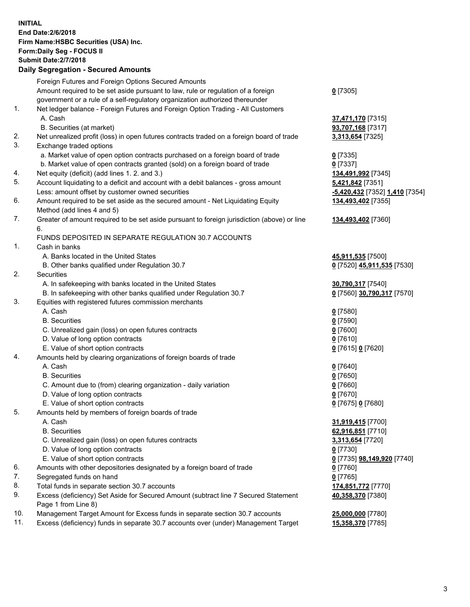**INITIAL End Date:2/6/2018 Firm Name:HSBC Securities (USA) Inc. Form:Daily Seg - FOCUS II Submit Date:2/7/2018 Daily Segregation - Secured Amounts** Foreign Futures and Foreign Options Secured Amounts Amount required to be set aside pursuant to law, rule or regulation of a foreign government or a rule of a self-regulatory organization authorized thereunder **0** [7305] 1. Net ledger balance - Foreign Futures and Foreign Option Trading - All Customers A. Cash **37,471,170** [7315] B. Securities (at market) **93,707,168** [7317] 2. Net unrealized profit (loss) in open futures contracts traded on a foreign board of trade **3,313,654** [7325] 3. Exchange traded options a. Market value of open option contracts purchased on a foreign board of trade **0** [7335] b. Market value of open contracts granted (sold) on a foreign board of trade **0** [7337] 4. Net equity (deficit) (add lines 1. 2. and 3.) **134,491,992** [7345] 5. Account liquidating to a deficit and account with a debit balances - gross amount **5,421,842** [7351] Less: amount offset by customer owned securities **-5,420,432** [7352] **1,410** [7354] 6. Amount required to be set aside as the secured amount - Net Liquidating Equity Method (add lines 4 and 5) **134,493,402** [7355] 7. Greater of amount required to be set aside pursuant to foreign jurisdiction (above) or line 6. **134,493,402** [7360] FUNDS DEPOSITED IN SEPARATE REGULATION 30.7 ACCOUNTS 1. Cash in banks A. Banks located in the United States **45,911,535** [7500] B. Other banks qualified under Regulation 30.7 **0** [7520] **45,911,535** [7530] 2. Securities A. In safekeeping with banks located in the United States **30,790,317** [7540] B. In safekeeping with other banks qualified under Regulation 30.7 **0** [7560] **30,790,317** [7570] 3. Equities with registered futures commission merchants A. Cash **0** [7580] B. Securities **0** [7590] C. Unrealized gain (loss) on open futures contracts **0** [7600] D. Value of long option contracts **0** [7610] E. Value of short option contracts **0** [7615] **0** [7620] 4. Amounts held by clearing organizations of foreign boards of trade A. Cash **0** [7640] B. Securities **0** [7650] C. Amount due to (from) clearing organization - daily variation **0** [7660] D. Value of long option contracts **0** [7670] E. Value of short option contracts **0** [7675] **0** [7680] 5. Amounts held by members of foreign boards of trade A. Cash **31,919,415** [7700] B. Securities **62,916,851** [7710] C. Unrealized gain (loss) on open futures contracts **3,313,654** [7720] D. Value of long option contracts **0** [7730] E. Value of short option contracts **0** [7735] **98,149,920** [7740] 6. Amounts with other depositories designated by a foreign board of trade **0** [7760] 7. Segregated funds on hand **0** [7765] 8. Total funds in separate section 30.7 accounts **174,851,772** [7770] 9. Excess (deficiency) Set Aside for Secured Amount (subtract line 7 Secured Statement Page 1 from Line 8) **40,358,370** [7380] 10. Management Target Amount for Excess funds in separate section 30.7 accounts **25,000,000** [7780] 11. Excess (deficiency) funds in separate 30.7 accounts over (under) Management Target **15,358,370** [7785]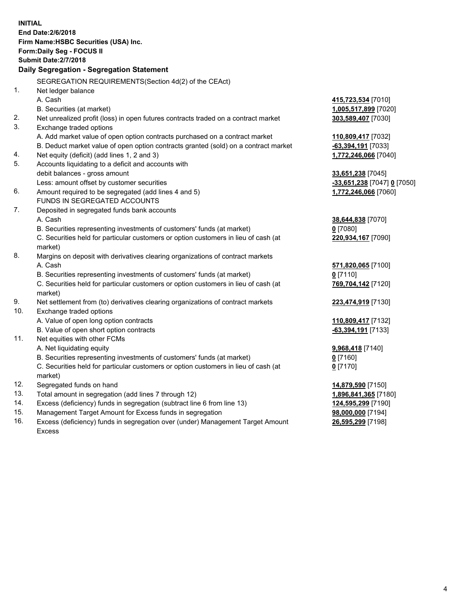| <b>INITIAL</b>                                                            | End Date: 2/6/2018<br>Firm Name: HSBC Securities (USA) Inc.<br>Form: Daily Seg - FOCUS II                     |                                                   |  |  |
|---------------------------------------------------------------------------|---------------------------------------------------------------------------------------------------------------|---------------------------------------------------|--|--|
| <b>Submit Date: 2/7/2018</b><br>Daily Segregation - Segregation Statement |                                                                                                               |                                                   |  |  |
|                                                                           |                                                                                                               |                                                   |  |  |
| 1.                                                                        | SEGREGATION REQUIREMENTS (Section 4d(2) of the CEAct)                                                         |                                                   |  |  |
|                                                                           | Net ledger balance<br>A. Cash                                                                                 |                                                   |  |  |
|                                                                           | B. Securities (at market)                                                                                     | <u>415,723,534</u> [7010]<br>1,005,517,899 [7020] |  |  |
| 2.                                                                        |                                                                                                               |                                                   |  |  |
| 3.                                                                        | Net unrealized profit (loss) in open futures contracts traded on a contract market<br>Exchange traded options | 303,589,407 [7030]                                |  |  |
|                                                                           | A. Add market value of open option contracts purchased on a contract market                                   | 110,809,417 [7032]                                |  |  |
|                                                                           | B. Deduct market value of open option contracts granted (sold) on a contract market                           | -63,394,191 [7033]                                |  |  |
| 4.                                                                        | Net equity (deficit) (add lines 1, 2 and 3)                                                                   | 1,772,246,066 [7040]                              |  |  |
| 5.                                                                        | Accounts liquidating to a deficit and accounts with                                                           |                                                   |  |  |
|                                                                           | debit balances - gross amount                                                                                 | 33,651,238 [7045]                                 |  |  |
|                                                                           | Less: amount offset by customer securities                                                                    | -33,651,238 [7047] 0 [7050]                       |  |  |
| 6.                                                                        | Amount required to be segregated (add lines 4 and 5)                                                          | 1,772,246,066 [7060]                              |  |  |
|                                                                           | FUNDS IN SEGREGATED ACCOUNTS                                                                                  |                                                   |  |  |
| 7.                                                                        | Deposited in segregated funds bank accounts                                                                   |                                                   |  |  |
|                                                                           | A. Cash                                                                                                       | 38,644,838 [7070]                                 |  |  |
|                                                                           | B. Securities representing investments of customers' funds (at market)                                        | $0$ [7080]                                        |  |  |
|                                                                           | C. Securities held for particular customers or option customers in lieu of cash (at                           | 220,934,167 [7090]                                |  |  |
|                                                                           | market)                                                                                                       |                                                   |  |  |
| 8.                                                                        | Margins on deposit with derivatives clearing organizations of contract markets                                |                                                   |  |  |
|                                                                           | A. Cash                                                                                                       | 571,820,065 [7100]                                |  |  |
|                                                                           | B. Securities representing investments of customers' funds (at market)                                        | 0 [7110]                                          |  |  |
|                                                                           | C. Securities held for particular customers or option customers in lieu of cash (at                           | 769,704,142 [7120]                                |  |  |
|                                                                           | market)                                                                                                       |                                                   |  |  |
| 9.                                                                        | Net settlement from (to) derivatives clearing organizations of contract markets                               | 223,474,919 [7130]                                |  |  |
| 10.                                                                       | Exchange traded options                                                                                       |                                                   |  |  |
|                                                                           | A. Value of open long option contracts                                                                        | 110,809,417 [7132]                                |  |  |
|                                                                           | B. Value of open short option contracts                                                                       | -63,394,191 [7133]                                |  |  |
| 11.                                                                       | Net equities with other FCMs                                                                                  |                                                   |  |  |
|                                                                           | A. Net liquidating equity                                                                                     | 9,968,418 [7140]                                  |  |  |
|                                                                           | B. Securities representing investments of customers' funds (at market)                                        | $0$ [7160]                                        |  |  |
|                                                                           | C. Securities held for particular customers or option customers in lieu of cash (at                           | $0$ [7170]                                        |  |  |
|                                                                           | market)                                                                                                       |                                                   |  |  |
| 12.                                                                       | Segregated funds on hand                                                                                      | 14,879,590 [7150]                                 |  |  |
| 13.                                                                       | Total amount in segregation (add lines 7 through 12)                                                          | 1,896,841,365 [7180]                              |  |  |
| 14.                                                                       | Excess (deficiency) funds in segregation (subtract line 6 from line 13)                                       | 124,595,299 [7190]                                |  |  |
| 15.                                                                       | Management Target Amount for Excess funds in segregation                                                      | <u>98,000,000</u> [7194]                          |  |  |

16. Excess (deficiency) funds in segregation over (under) Management Target Amount Excess

**26,595,299** [7198]